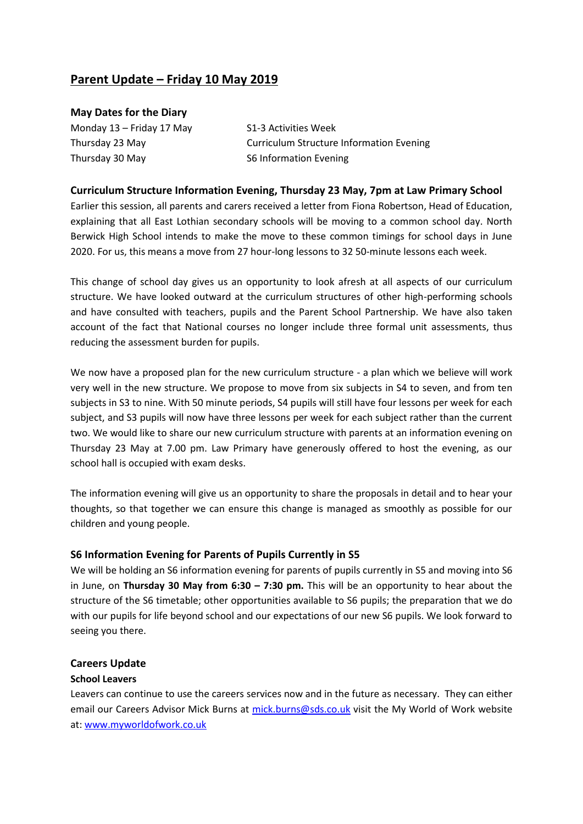# **Parent Update – Friday 10 May 2019**

### **May Dates for the Diary**

Monday  $13$  – Friday 17 May  $S1-3$  Activities Week Thursday 30 May S6 Information Evening

Thursday 23 May Curriculum Structure Information Evening

### **Curriculum Structure Information Evening, Thursday 23 May, 7pm at Law Primary School**

Earlier this session, all parents and carers received a letter from Fiona Robertson, Head of Education, explaining that all East Lothian secondary schools will be moving to a common school day. North Berwick High School intends to make the move to these common timings for school days in June 2020. For us, this means a move from 27 hour-long lessons to 32 50-minute lessons each week.

This change of school day gives us an opportunity to look afresh at all aspects of our curriculum structure. We have looked outward at the curriculum structures of other high-performing schools and have consulted with teachers, pupils and the Parent School Partnership. We have also taken account of the fact that National courses no longer include three formal unit assessments, thus reducing the assessment burden for pupils.

We now have a proposed plan for the new curriculum structure - a plan which we believe will work very well in the new structure. We propose to move from six subjects in S4 to seven, and from ten subjects in S3 to nine. With 50 minute periods, S4 pupils will still have four lessons per week for each subject, and S3 pupils will now have three lessons per week for each subject rather than the current two. We would like to share our new curriculum structure with parents at an information evening on Thursday 23 May at 7.00 pm. Law Primary have generously offered to host the evening, as our school hall is occupied with exam desks.

The information evening will give us an opportunity to share the proposals in detail and to hear your thoughts, so that together we can ensure this change is managed as smoothly as possible for our children and young people.

## **S6 Information Evening for Parents of Pupils Currently in S5**

We will be holding an S6 information evening for parents of pupils currently in S5 and moving into S6 in June, on **Thursday 30 May from 6:30 – 7:30 pm.** This will be an opportunity to hear about the structure of the S6 timetable; other opportunities available to S6 pupils; the preparation that we do with our pupils for life beyond school and our expectations of our new S6 pupils. We look forward to seeing you there.

#### **Careers Update**

#### **School Leavers**

Leavers can continue to use the careers services now and in the future as necessary. They can either email our Careers Advisor Mick Burns at [mick.burns@sds.co.uk](mailto:mick.burns@sds.co.uk) visit the My World of Work website at: [www.myworldofwork.co.uk](http://www.myworldofwork.co.uk/)